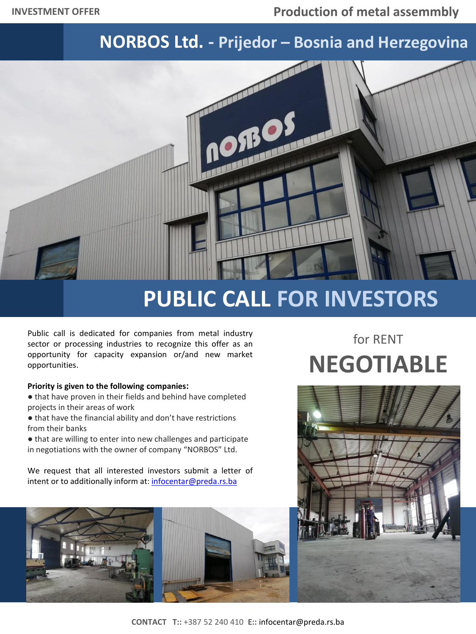## **NORBOS Ltd. - Prijedor – Bosnia and Herzegovina**



## **PUBLIC CALL FOR INVESTORS**

Public call is dedicated for companies from metal industry sector or processing industries to recognize this offer as an opportunity for capacity expansion or/and new market opportunities.

## **Priority is given to the following companies:**

- that have proven in their fields and behind have completed projects in their areas of work
- that have the financial ability and don't have restrictions from their banks
- that are willing to enter into new challenges and participate in negotiations with the owner of company "NORBOS" Ltd.

We request that all interested investors submit a letter of intent or to additionally inform at: [infocentar@preda.rs.ba](mailto:infocentar@preda.rs.ba)



## for RENT **NEGOTIABLE**